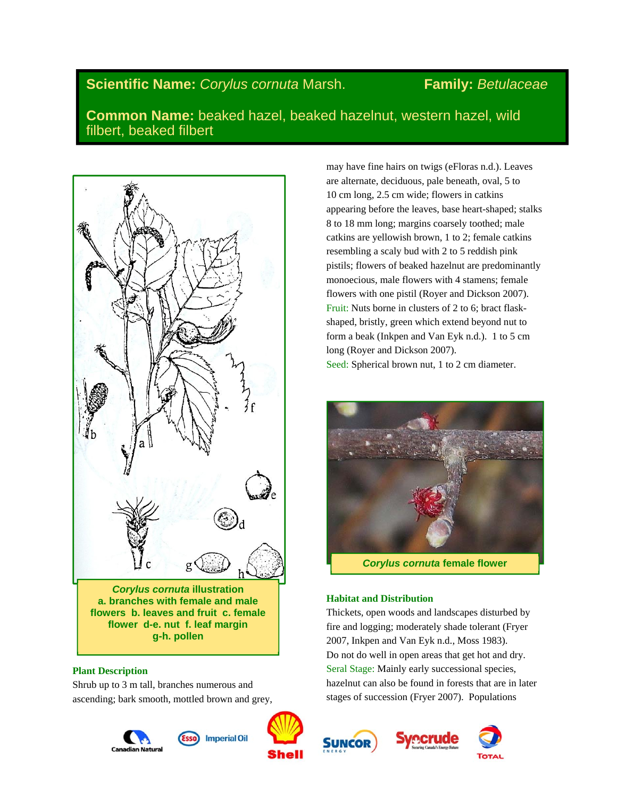# **Scientific Name:** *Corylus cornuta* Marsh. **Family:** *Betulaceae*

**Common Name:** beaked hazel, beaked hazelnut, western hazel, wild filbert, beaked filbert



*Corylus cornuta* **illustration a. branches with female and male flowers b. leaves and fruit c. female flower d-e. nut f. leaf margin g-h. pollen** 

# **Plant Description**

Shrub up to 3 m tall, branches numerous and ascending; bark smooth, mottled brown and grey,





may have fine hairs on twigs (eFloras n.d.). Leaves are alternate, deciduous, pale beneath, oval, 5 to 10 cm long, 2.5 cm wide; flowers in catkins appearing before the leaves, base heart-shaped; stalks 8 to 18 mm long; margins coarsely toothed; male catkins are yellowish brown, 1 to 2; female catkins resembling a scaly bud with 2 to 5 reddish pink pistils; flowers of beaked hazelnut are predominantly monoecious, male flowers with 4 stamens; female flowers with one pistil (Royer and Dickson 2007). Fruit: Nuts borne in clusters of 2 to 6; bract flaskshaped, bristly, green which extend beyond nut to form a beak (Inkpen and Van Eyk n.d.). 1 to 5 cm long (Royer and Dickson 2007). Seed: Spherical brown nut, 1 to 2 cm diameter.



*Corylus cornuta* **female flower** 

# **Habitat and Distribution**

Thickets, open woods and landscapes disturbed by fire and logging; moderately shade tolerant (Fryer 2007, Inkpen and Van Eyk n.d., Moss 1983). Do not do well in open areas that get hot and dry. Seral Stage: Mainly early successional species, hazelnut can also be found in forests that are in later stages of succession (Fryer 2007). Populations





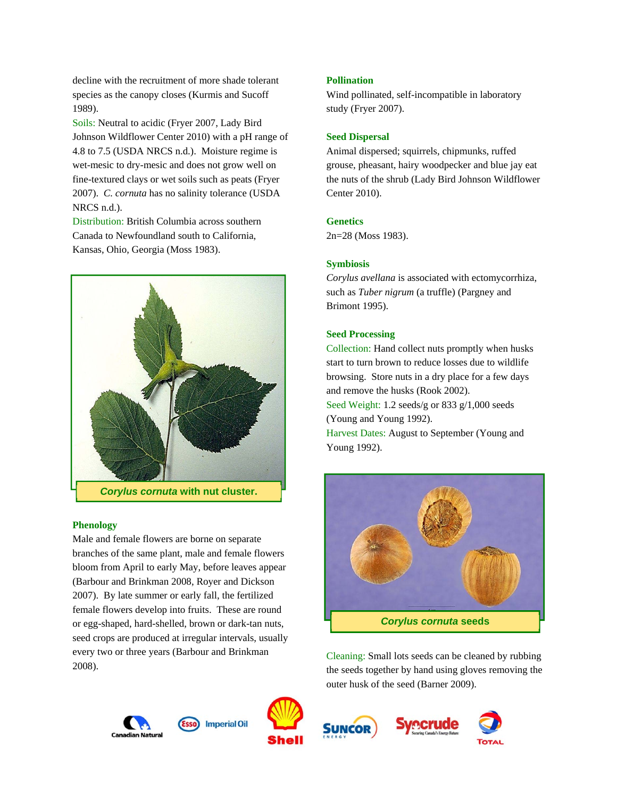decline with the recruitment of more shade tolerant species as the canopy closes (Kurmis and Sucoff 1989).

Soils: Neutral to acidic (Fryer 2007, Lady Bird Johnson Wildflower Center 2010) with a pH range of 4.8 to 7.5 (USDA NRCS n.d.). Moisture regime is wet-mesic to dry-mesic and does not grow well on fine-textured clays or wet soils such as peats (Fryer 2007). *C. cornuta* has no salinity tolerance (USDA NRCS n.d.).

Distribution: British Columbia across southern Canada to Newfoundland south to California, Kansas, Ohio, Georgia (Moss 1983).



#### **Phenology**

Male and female flowers are borne on separate branches of the same plant, male and female flowers bloom from April to early May, before leaves appear (Barbour and Brinkman 2008, Royer and Dickson 2007). By late summer or early fall, the fertilized female flowers develop into fruits. These are round or egg-shaped, hard-shelled, brown or dark-tan nuts, seed crops are produced at irregular intervals, usually every two or three years (Barbour and Brinkman 2008).



Wind pollinated, self-incompatible in laboratory study (Fryer 2007).

#### **Seed Dispersal**

Animal dispersed; squirrels, chipmunks, ruffed grouse, pheasant, hairy woodpecker and blue jay eat the nuts of the shrub (Lady Bird Johnson Wildflower Center 2010).

### **Genetics**

2n=28 (Moss 1983).

#### **Symbiosis**

*Corylus avellana* is associated with ectomycorrhiza, such as *Tuber nigrum* (a truffle) (Pargney and Brimont 1995).

### **Seed Processing**

Collection: Hand collect nuts promptly when husks start to turn brown to reduce losses due to wildlife browsing. Store nuts in a dry place for a few days and remove the husks (Rook 2002). Seed Weight: 1.2 seeds/g or 833 g/1,000 seeds (Young and Young 1992). Harvest Dates: August to September (Young and Young 1992).



Cleaning: Small lots seeds can be cleaned by rubbing the seeds together by hand using gloves removing the outer husk of the seed (Barner 2009).







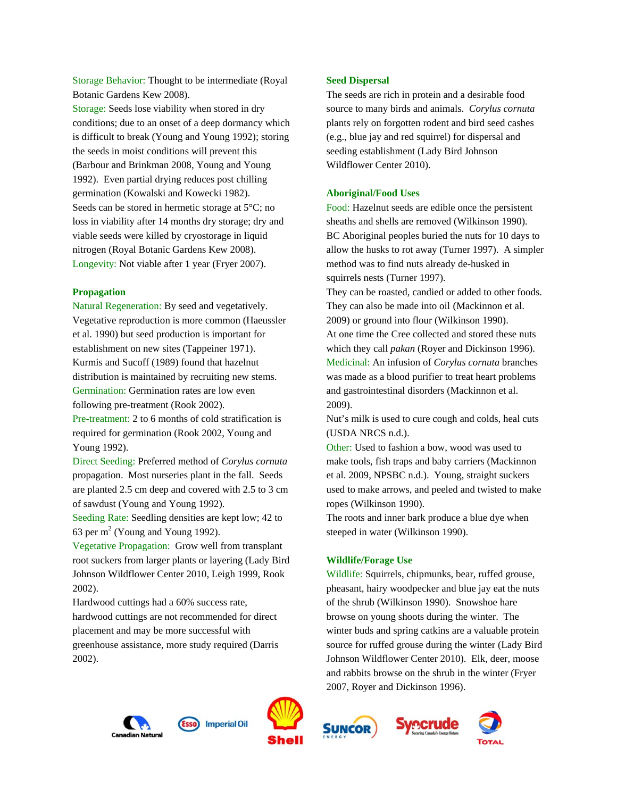Storage Behavior: Thought to be intermediate (Royal Botanic Gardens Kew 2008). Storage: Seeds lose viability when stored in dry conditions; due to an onset of a deep dormancy which is difficult to break (Young and Young 1992); storing the seeds in moist conditions will prevent this (Barbour and Brinkman 2008, Young and Young 1992). Even partial drying reduces post chilling germination (Kowalski and Kowecki 1982). Seeds can be stored in hermetic storage at  $5^{\circ}$ C; no loss in viability after 14 months dry storage; dry and viable seeds were killed by cryostorage in liquid nitrogen (Royal Botanic Gardens Kew 2008). Longevity: Not viable after 1 year (Fryer 2007).

#### **Propagation**

Natural Regeneration: By seed and vegetatively. Vegetative reproduction is more common (Haeussler et al. 1990) but seed production is important for establishment on new sites (Tappeiner 1971). Kurmis and Sucoff (1989) found that hazelnut distribution is maintained by recruiting new stems. Germination: Germination rates are low even following pre-treatment (Rook 2002).

Pre-treatment: 2 to 6 months of cold stratification is required for germination (Rook 2002, Young and Young 1992).

Direct Seeding: Preferred method of *Corylus cornuta* propagation. Most nurseries plant in the fall. Seeds are planted 2.5 cm deep and covered with 2.5 to 3 cm of sawdust (Young and Young 1992).

Seeding Rate: Seedling densities are kept low; 42 to 63 per  $m^2$  (Young and Young 1992).

Vegetative Propagation: Grow well from transplant root suckers from larger plants or layering (Lady Bird Johnson Wildflower Center 2010, Leigh 1999, Rook 2002).

Hardwood cuttings had a 60% success rate, hardwood cuttings are not recommended for direct placement and may be more successful with greenhouse assistance, more study required (Darris 2002).

# **Seed Dispersal**

The seeds are rich in protein and a desirable food source to many birds and animals. *Corylus cornuta* plants rely on forgotten rodent and bird seed cashes (e.g., blue jay and red squirrel) for dispersal and seeding establishment (Lady Bird Johnson Wildflower Center 2010).

#### **Aboriginal/Food Uses**

Food: Hazelnut seeds are edible once the persistent sheaths and shells are removed (Wilkinson 1990). BC Aboriginal peoples buried the nuts for 10 days to allow the husks to rot away (Turner 1997). A simpler method was to find nuts already de-husked in squirrels nests (Turner 1997).

They can be roasted, candied or added to other foods. They can also be made into oil (Mackinnon et al. 2009) or ground into flour (Wilkinson 1990). At one time the Cree collected and stored these nuts which they call *pakan* (Royer and Dickinson 1996). Medicinal: An infusion of *Corylus cornuta* branches was made as a blood purifier to treat heart problems and gastrointestinal disorders (Mackinnon et al. 2009).

Nut's milk is used to cure cough and colds, heal cuts (USDA NRCS n.d.).

Other: Used to fashion a bow, wood was used to make tools, fish traps and baby carriers (Mackinnon et al. 2009, NPSBC n.d.). Young, straight suckers used to make arrows, and peeled and twisted to make ropes (Wilkinson 1990).

The roots and inner bark produce a blue dye when steeped in water (Wilkinson 1990).

#### **Wildlife/Forage Use**

Wildlife: Squirrels, chipmunks, bear, ruffed grouse, pheasant, hairy woodpecker and blue jay eat the nuts of the shrub (Wilkinson 1990). Snowshoe hare browse on young shoots during the winter. The winter buds and spring catkins are a valuable protein source for ruffed grouse during the winter (Lady Bird Johnson Wildflower Center 2010). Elk, deer, moose and rabbits browse on the shrub in the winter (Fryer 2007, Royer and Dickinson 1996).





**Imperial Oil** 



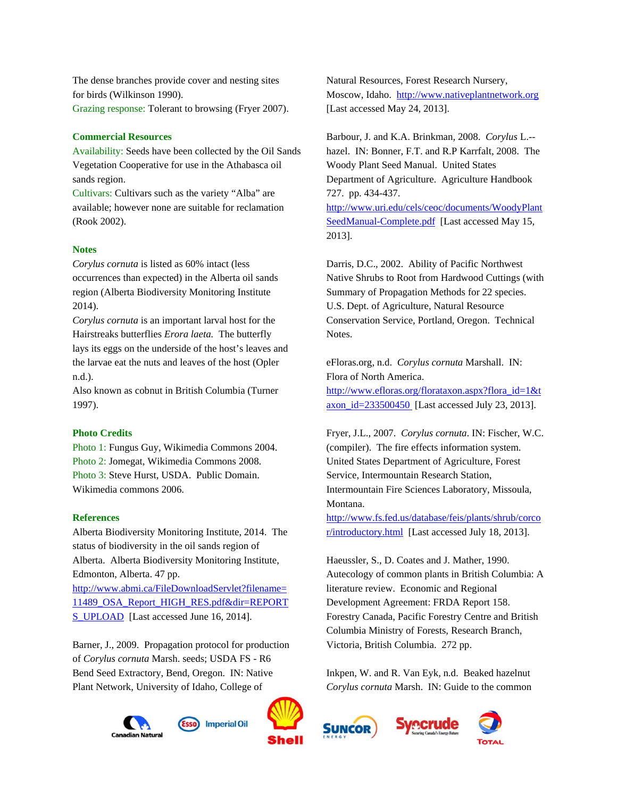The dense branches provide cover and nesting sites for birds (Wilkinson 1990). Grazing response: Tolerant to browsing (Fryer 2007).

# **Commercial Resources**

Availability: Seeds have been collected by the Oil Sands Vegetation Cooperative for use in the Athabasca oil sands region.

Cultivars: Cultivars such as the variety "Alba" are available; however none are suitable for reclamation (Rook 2002).

# **Notes**

*Corylus cornuta* is listed as 60% intact (less occurrences than expected) in the Alberta oil sands region (Alberta Biodiversity Monitoring Institute 2014).

*Corylus cornuta* is an important larval host for the Hairstreaks butterflies *Erora laeta.* The butterfly lays its eggs on the underside of the host's leaves and the larvae eat the nuts and leaves of the host (Opler n.d.).

Also known as cobnut in British Columbia (Turner 1997).

# **Photo Credits**

Photo 1: Fungus Guy, Wikimedia Commons 2004. Photo 2: Jomegat, Wikimedia Commons 2008. Photo 3: Steve Hurst, USDA. Public Domain. Wikimedia commons 2006.

# **References**

Alberta Biodiversity Monitoring Institute, 2014. The status of biodiversity in the oil sands region of Alberta. Alberta Biodiversity Monitoring Institute, Edmonton, Alberta. 47 pp. http://www.abmi.ca/FileDownloadServlet?filename=

11489\_OSA\_Report\_HIGH\_RES.pdf&dir=REPORT S\_UPLOAD [Last accessed June 16, 2014].

Barner, J., 2009. Propagation protocol for production of *Corylus cornuta* Marsh. seeds; USDA FS - R6 Bend Seed Extractory, Bend, Oregon. IN: Native Plant Network, University of Idaho, College of



Natural Resources, Forest Research Nursery, Moscow, Idaho. http://www.nativeplantnetwork.org [Last accessed May 24, 2013].

Barbour, J. and K.A. Brinkman, 2008. *Corylus* L.- hazel. IN: Bonner, F.T. and R.P Karrfalt, 2008. The Woody Plant Seed Manual. United States Department of Agriculture. Agriculture Handbook 727. pp. 434-437. http://www.uri.edu/cels/ceoc/documents/WoodyPlant SeedManual-Complete.pdf [Last accessed May 15, 2013].

Darris, D.C., 2002. Ability of Pacific Northwest Native Shrubs to Root from Hardwood Cuttings (with Summary of Propagation Methods for 22 species. U.S. Dept. of Agriculture, Natural Resource Conservation Service, Portland, Oregon. Technical Notes.

eFloras.org, n.d. *Corylus cornuta* Marshall. IN: Flora of North America. http://www.efloras.org/florataxon.aspx?flora\_id=1&t axon\_id=233500450 [Last accessed July 23, 2013].

Fryer, J.L., 2007. *Corylus cornuta*. IN: Fischer, W.C. (compiler). The fire effects information system. United States Department of Agriculture, Forest Service, Intermountain Research Station, Intermountain Fire Sciences Laboratory, Missoula, Montana.

http://www.fs.fed.us/database/feis/plants/shrub/corco r/introductory.html [Last accessed July 18, 2013].

Haeussler, S., D. Coates and J. Mather, 1990. Autecology of common plants in British Columbia: A literature review. Economic and Regional Development Agreement: FRDA Report 158. Forestry Canada, Pacific Forestry Centre and British Columbia Ministry of Forests, Research Branch, Victoria, British Columbia. 272 pp.

Inkpen, W. and R. Van Eyk, n.d. Beaked hazelnut *Corylus cornuta* Marsh. IN: Guide to the common





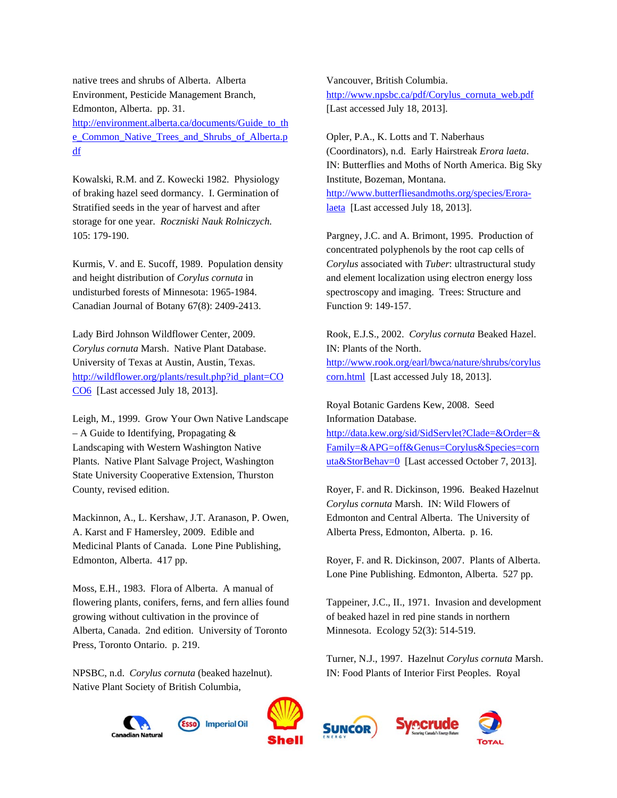native trees and shrubs of Alberta. Alberta Environment, Pesticide Management Branch, Edmonton, Alberta. pp. 31. http://environment.alberta.ca/documents/Guide\_to\_th e\_Common\_Native\_Trees\_and\_Shrubs\_of\_Alberta.p df

Kowalski, R.M. and Z. Kowecki 1982. Physiology of braking hazel seed dormancy. I. Germination of Stratified seeds in the year of harvest and after storage for one year. *Roczniski Nauk Rolniczych.* 105: 179-190.

Kurmis, V. and E. Sucoff, 1989. Population density and height distribution of *Corylus cornuta* in undisturbed forests of Minnesota: 1965-1984. Canadian Journal of Botany 67(8): 2409-2413.

Lady Bird Johnson Wildflower Center, 2009. *Corylus cornuta* Marsh. Native Plant Database. University of Texas at Austin, Austin, Texas. http://wildflower.org/plants/result.php?id\_plant=CO CO6 [Last accessed July 18, 2013].

Leigh, M., 1999. Grow Your Own Native Landscape – A Guide to Identifying, Propagating  $\&$ Landscaping with Western Washington Native Plants. Native Plant Salvage Project, Washington State University Cooperative Extension, Thurston County, revised edition.

Mackinnon, A., L. Kershaw, J.T. Aranason, P. Owen, A. Karst and F Hamersley, 2009. Edible and Medicinal Plants of Canada. Lone Pine Publishing, Edmonton, Alberta. 417 pp.

Moss, E.H., 1983. Flora of Alberta. A manual of flowering plants, conifers, ferns, and fern allies found growing without cultivation in the province of Alberta, Canada. 2nd edition. University of Toronto Press, Toronto Ontario. p. 219.

NPSBC, n.d. *Corylus cornuta* (beaked hazelnut). Native Plant Society of British Columbia,





Vancouver, British Columbia. http://www.npsbc.ca/pdf/Corylus\_cornuta\_web.pdf [Last accessed July 18, 2013].

Opler, P.A., K. Lotts and T. Naberhaus (Coordinators), n.d. Early Hairstreak *Erora laeta*. IN: Butterflies and Moths of North America. Big Sky Institute, Bozeman, Montana. http://www.butterfliesandmoths.org/species/Eroralaeta [Last accessed July 18, 2013].

Pargney, J.C. and A. Brimont, 1995. Production of concentrated polyphenols by the root cap cells of *Corylus* associated with *Tuber*: ultrastructural study and element localization using electron energy loss spectroscopy and imaging. Trees: Structure and Function 9: 149-157.

Rook, E.J.S., 2002. *Corylus cornuta* Beaked Hazel. IN: Plants of the North. http://www.rook.org/earl/bwca/nature/shrubs/corylus corn.html [Last accessed July 18, 2013].

Royal Botanic Gardens Kew, 2008. Seed Information Database. http://data.kew.org/sid/SidServlet?Clade=&Order=& Family=&APG=off&Genus=Corylus&Species=corn uta&StorBehav=0 [Last accessed October 7, 2013].

Royer, F. and R. Dickinson, 1996. Beaked Hazelnut *Corylus cornuta* Marsh. IN: Wild Flowers of Edmonton and Central Alberta. The University of Alberta Press, Edmonton, Alberta. p. 16.

Royer, F. and R. Dickinson, 2007.Plants of Alberta. Lone Pine Publishing. Edmonton, Alberta. 527 pp.

Tappeiner, J.C., II., 1971. Invasion and development of beaked hazel in red pine stands in northern Minnesota. Ecology 52(3): 514-519.

Turner, N.J., 1997. Hazelnut *Corylus cornuta* Marsh. IN: Food Plants of Interior First Peoples. Royal